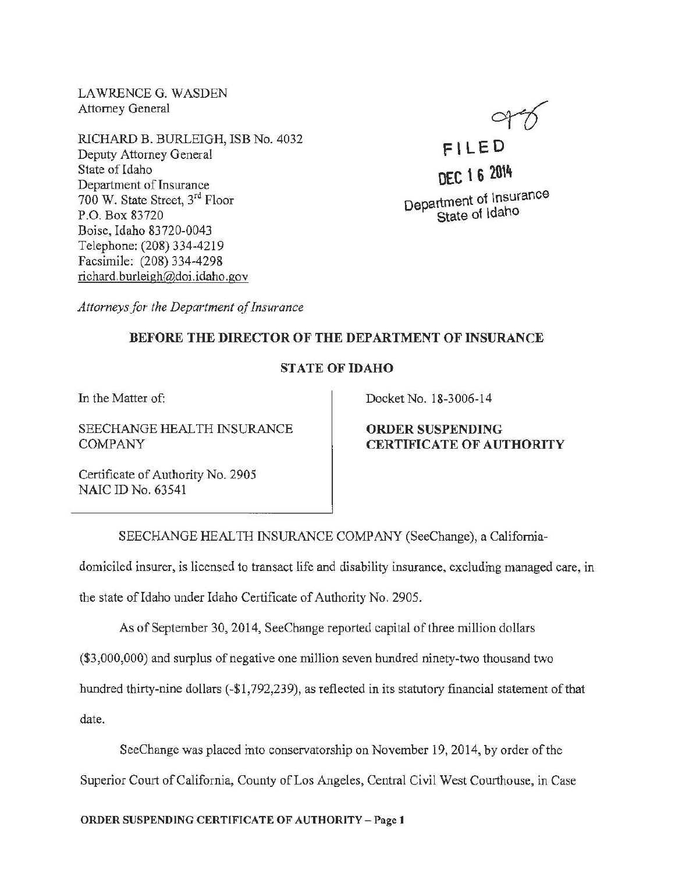LAWRENCE G. WASDEN Attorney General

RICHARD B. BURLEIGH, ISB No. 4032 Deputy Attorney General State of Idaho Department of Insurance 700 W. State Street, 3rd Floor P.O. Box 83720 Boise, Idaho 83720-0043 Telephone: (208) 334-4219 Facsimile: (208) 334-4298 richard. burleigh@doi .idaho. gov



F' LED DEC 1 6 2014 Department of Insurance State of Idaho

*Attorneys for the Department of Insurance* 

## BEFORE THE DIRECTOR OF THE DEPARTMENT OF INSURANCE

## STATE OF IDAHO

In the Matter of:

SEECHANGE HEALTH INSURANCE COMPANY

Docket No. 18-3006-14

ORDER SUSPENDING CERTIFICATE OF AUTHORITY

Certificate of Authority No. 2905 NAIC ID No. 63541

SEECHANGE HEAL TH INSURANCE COMPANY (SeeChange), a California-

domiciled insurer, is licensed to transact life and disability insurance, excluding managed care, in

the state of Idaho under Idaho Certificate of Authority No. 2905.

As of September 30, 2014, SeeChange reported capital of three million dollars

(\$3,000,000) and surplus of negative one million seven hundred ninety-two thousand two

hundred thirty-nine dollars (-\$1,792,239), as reflected in its statutory financial statement of that

date.

SeeChange was placed into conservatorship on November 19, 2014, by order of the Superior Court of California, County of Los Angeles, Central Civil West Courthouse, in Case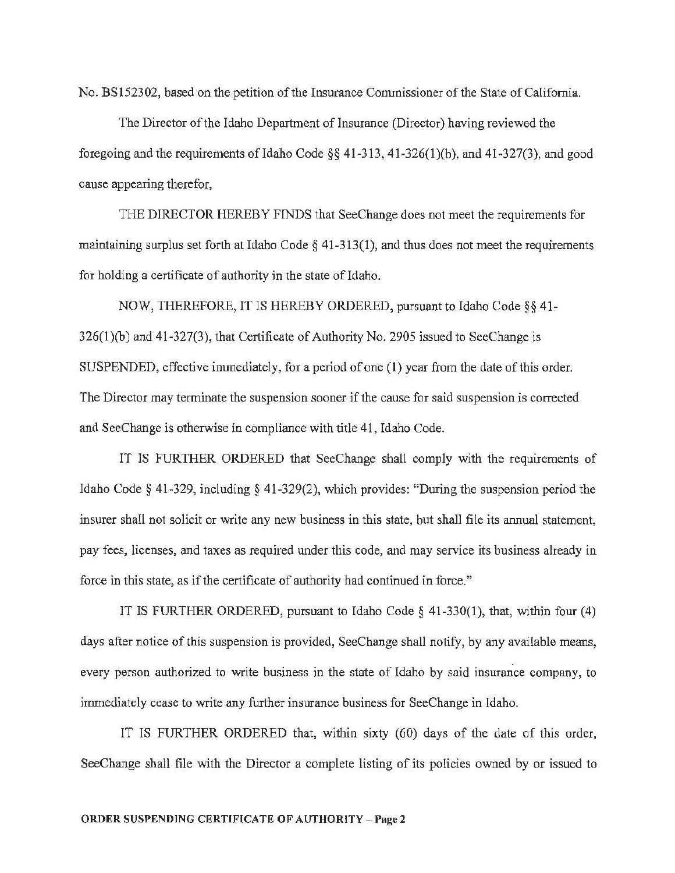No. BS152302, based on the petition of the Insurance Commissioner of the State of California.

The Director of the Idaho Department of Insurance (Director) having reviewed the foregoing and the requirements of Idaho Code §§ 41-313, 41-326(1)(b), and 41-327(3), and good cause appearing therefor,

THE DIRECTOR HEREBY FINDS that SeeChange does not meet the requirements for maintaining surplus set forth at Idaho Code *§* 41-313(1 ), and thus does not meet the requirements for holding a certificate of authority in the state of Idaho.

NOW, THEREFORE, IT IS HEREBY ORDERED, pursuant to Idaho Code§§ 41- 326(1)(b) and 41-327{3), that Certificate of Authority No. 2905 issued to SeeChange is SUSPENDED, effective immediately, for a period of one (1) year from the date of this order. The Director may terminate the suspension sooner if the cause for said suspension is corrected and SeeChange is otherwise in compliance with title 41, Idaho Code.

IT IS FURTHER ORDERED that SeeChange shall comply with the requirements of Idaho Code§ 41-329, including§ 41-329(2), which provides: "During the suspension period the insurer shall not solicit or write any new business in this state, but shall file its annual statement, pay fees, licenses, and taxes as required under this code, and may service its business already in force in this state, as if the certificate of authority had continued in force."

IT IS FURTHER ORDERED, pursuant to Idaho Code  $\S$  41-330(1), that, within four (4) days after notice of this suspension is provided, SeeChange shall notify, by any available means, every person authorized to write business in the state of Idaho by said insurance company, to immediately cease to write any further insurance business for SeeChange in Idaho.

IT IS FURTHER ORDERED that, within sixty (60) days of the date of this order, SeeChange shall file with the Director a complete listing of its policies owned by or issued to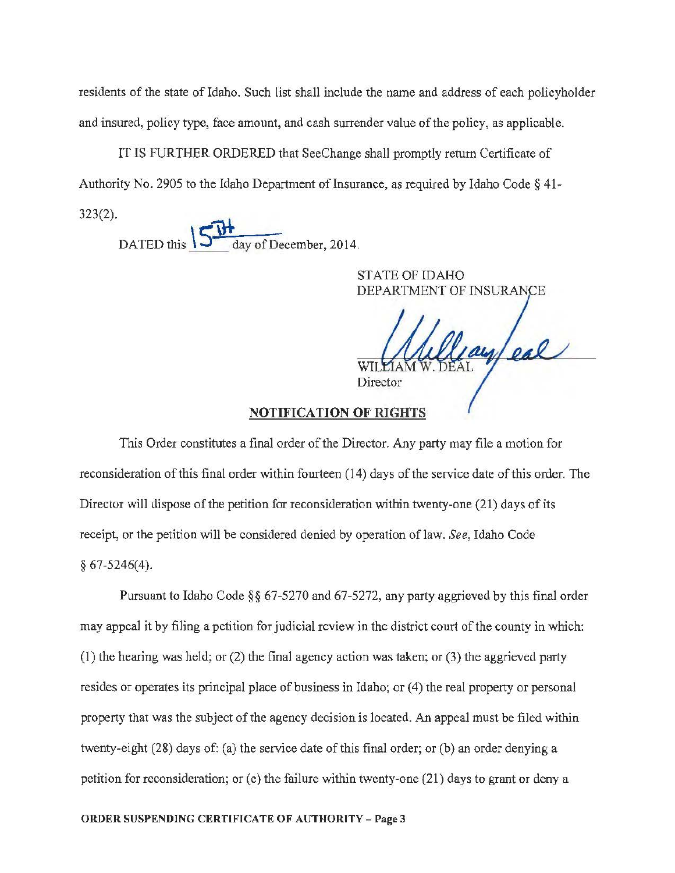residents of the state of Idaho. Such list shall include the name and address of each policyholder and insured, policy type, face amount, and cash surrender value of the policy, as applicable.

IT IS FURTHER ORDERED that SeeChange shall promptly return Certificate of Authority No. 2905 to the Idaho Department of Insurance, as required by Idaho Code § 41- 323(2).

DATED this  $\frac{\sqrt{W}}{\frac{1}{\text{day of December, 2014.}}}$ 

STATE OF IDAHO DEPARTMENT OF INSURANCE

ayleal Director

## NOTIFICATION OF RIGHTS

This Order constitutes a final order of the Director. Any party may file a motion for reconsideration of this final order within fourteen (14) days of the service date of this order. The Director will dispose of the petition for reconsideration within twenty-one (21) days of its receipt, or the petition will be considered denied by operation of law. *See,* Idaho Code § 67-5246(4).

Pursuant to Idaho Code§§ 67-5270 and 67-5272, any party aggrieved by this final order may appeal it by filing a petition for judicial review in the district court of the county in which: (1) the hearing was held; or (2) the final agency action was taken; or (3) the aggrieved party resides or operates its principal place of business in Idaho; or  $(4)$  the real property or personal property that was the subject of the agency decision is located. An appeal must be filed within twenty-eight (28) days of: (a) the service date of this final order; or (b) an order denying a petition for reconsideration; or (c) the failure within twenty-one (21) days to grant or deny a